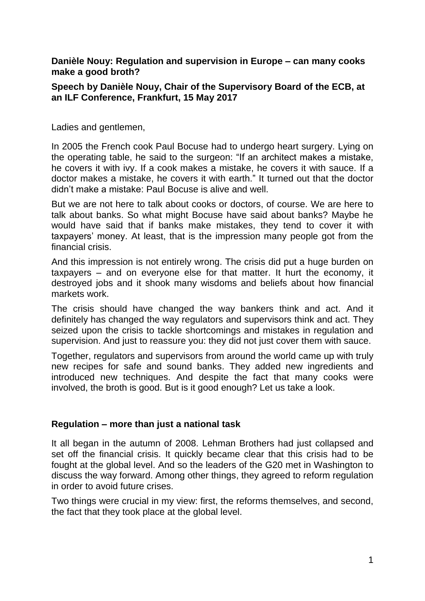**Danièle Nouy: Regulation and supervision in Europe – can many cooks make a good broth?**

### **Speech by Danièle Nouy, Chair of the Supervisory Board of the ECB, at an ILF Conference, Frankfurt, 15 May 2017**

Ladies and gentlemen,

In 2005 the French cook Paul Bocuse had to undergo heart surgery. Lying on the operating table, he said to the surgeon: "If an architect makes a mistake, he covers it with ivy. If a cook makes a mistake, he covers it with sauce. If a doctor makes a mistake, he covers it with earth." It turned out that the doctor didn't make a mistake: Paul Bocuse is alive and well.

But we are not here to talk about cooks or doctors, of course. We are here to talk about banks. So what might Bocuse have said about banks? Maybe he would have said that if banks make mistakes, they tend to cover it with taxpayers' money. At least, that is the impression many people got from the financial crisis.

And this impression is not entirely wrong. The crisis did put a huge burden on taxpayers – and on everyone else for that matter. It hurt the economy, it destroyed jobs and it shook many wisdoms and beliefs about how financial markets work.

The crisis should have changed the way bankers think and act. And it definitely has changed the way regulators and supervisors think and act. They seized upon the crisis to tackle shortcomings and mistakes in regulation and supervision. And just to reassure you: they did not just cover them with sauce.

Together, regulators and supervisors from around the world came up with truly new recipes for safe and sound banks. They added new ingredients and introduced new techniques. And despite the fact that many cooks were involved, the broth is good. But is it good enough? Let us take a look.

# **Regulation – more than just a national task**

It all began in the autumn of 2008. Lehman Brothers had just collapsed and set off the financial crisis. It quickly became clear that this crisis had to be fought at the global level. And so the leaders of the G20 met in Washington to discuss the way forward. Among other things, they agreed to reform regulation in order to avoid future crises.

Two things were crucial in my view: first, the reforms themselves, and second, the fact that they took place at the global level.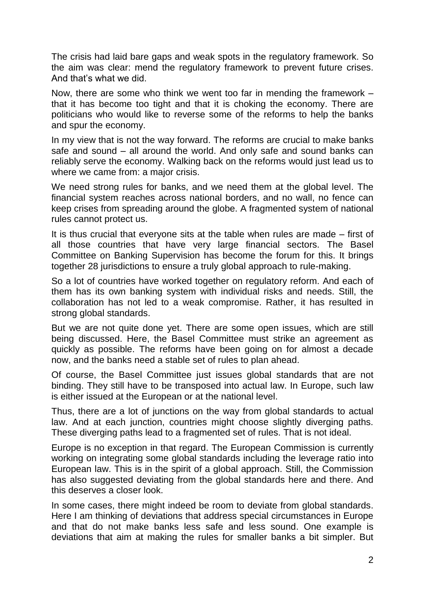The crisis had laid bare gaps and weak spots in the regulatory framework. So the aim was clear: mend the regulatory framework to prevent future crises. And that's what we did.

Now, there are some who think we went too far in mending the framework – that it has become too tight and that it is choking the economy. There are politicians who would like to reverse some of the reforms to help the banks and spur the economy.

In my view that is not the way forward. The reforms are crucial to make banks safe and sound – all around the world. And only safe and sound banks can reliably serve the economy. Walking back on the reforms would just lead us to where we came from: a major crisis.

We need strong rules for banks, and we need them at the global level. The financial system reaches across national borders, and no wall, no fence can keep crises from spreading around the globe. A fragmented system of national rules cannot protect us.

It is thus crucial that everyone sits at the table when rules are made – first of all those countries that have very large financial sectors. The Basel Committee on Banking Supervision has become the forum for this. It brings together 28 jurisdictions to ensure a truly global approach to rule-making.

So a lot of countries have worked together on regulatory reform. And each of them has its own banking system with individual risks and needs. Still, the collaboration has not led to a weak compromise. Rather, it has resulted in strong global standards.

But we are not quite done yet. There are some open issues, which are still being discussed. Here, the Basel Committee must strike an agreement as quickly as possible. The reforms have been going on for almost a decade now, and the banks need a stable set of rules to plan ahead.

Of course, the Basel Committee just issues global standards that are not binding. They still have to be transposed into actual law. In Europe, such law is either issued at the European or at the national level.

Thus, there are a lot of junctions on the way from global standards to actual law. And at each junction, countries might choose slightly diverging paths. These diverging paths lead to a fragmented set of rules. That is not ideal.

Europe is no exception in that regard. The European Commission is currently working on integrating some global standards including the leverage ratio into European law. This is in the spirit of a global approach. Still, the Commission has also suggested deviating from the global standards here and there. And this deserves a closer look.

In some cases, there might indeed be room to deviate from global standards. Here I am thinking of deviations that address special circumstances in Europe and that do not make banks less safe and less sound. One example is deviations that aim at making the rules for smaller banks a bit simpler. But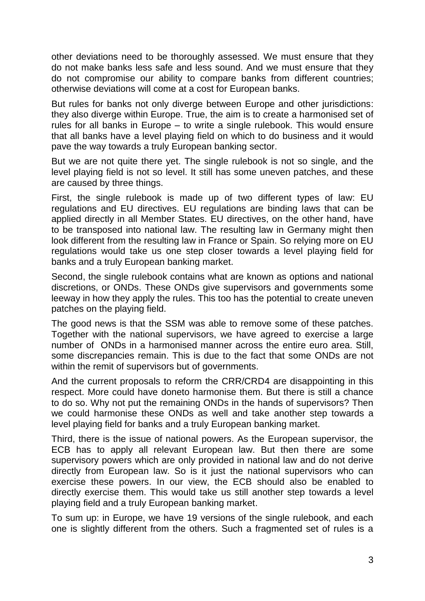other deviations need to be thoroughly assessed. We must ensure that they do not make banks less safe and less sound. And we must ensure that they do not compromise our ability to compare banks from different countries; otherwise deviations will come at a cost for European banks.

But rules for banks not only diverge between Europe and other jurisdictions: they also diverge within Europe. True, the aim is to create a harmonised set of rules for all banks in Europe – to write a single rulebook. This would ensure that all banks have a level playing field on which to do business and it would pave the way towards a truly European banking sector.

But we are not quite there yet. The single rulebook is not so single, and the level playing field is not so level. It still has some uneven patches, and these are caused by three things.

First, the single rulebook is made up of two different types of law: EU regulations and EU directives. EU regulations are binding laws that can be applied directly in all Member States. EU directives, on the other hand, have to be transposed into national law. The resulting law in Germany might then look different from the resulting law in France or Spain. So relying more on EU regulations would take us one step closer towards a level playing field for banks and a truly European banking market.

Second, the single rulebook contains what are known as options and national discretions, or ONDs. These ONDs give supervisors and governments some leeway in how they apply the rules. This too has the potential to create uneven patches on the playing field.

The good news is that the SSM was able to remove some of these patches. Together with the national supervisors, we have agreed to exercise a large number of ONDs in a harmonised manner across the entire euro area. Still, some discrepancies remain. This is due to the fact that some ONDs are not within the remit of supervisors but of governments.

And the current proposals to reform the CRR/CRD4 are disappointing in this respect. More could have doneto harmonise them. But there is still a chance to do so. Why not put the remaining ONDs in the hands of supervisors? Then we could harmonise these ONDs as well and take another step towards a level playing field for banks and a truly European banking market.

Third, there is the issue of national powers. As the European supervisor, the ECB has to apply all relevant European law. But then there are some supervisory powers which are only provided in national law and do not derive directly from European law. So is it just the national supervisors who can exercise these powers. In our view, the ECB should also be enabled to directly exercise them. This would take us still another step towards a level playing field and a truly European banking market.

To sum up: in Europe, we have 19 versions of the single rulebook, and each one is slightly different from the others. Such a fragmented set of rules is a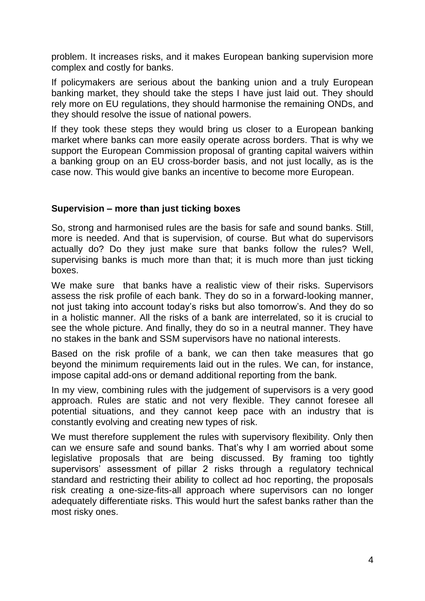problem. It increases risks, and it makes European banking supervision more complex and costly for banks.

If policymakers are serious about the banking union and a truly European banking market, they should take the steps I have just laid out. They should rely more on EU regulations, they should harmonise the remaining ONDs, and they should resolve the issue of national powers.

If they took these steps they would bring us closer to a European banking market where banks can more easily operate across borders. That is why we support the European Commission proposal of granting capital waivers within a banking group on an EU cross-border basis, and not just locally, as is the case now. This would give banks an incentive to become more European.

# **Supervision – more than just ticking boxes**

So, strong and harmonised rules are the basis for safe and sound banks. Still, more is needed. And that is supervision, of course. But what do supervisors actually do? Do they just make sure that banks follow the rules? Well, supervising banks is much more than that; it is much more than just ticking boxes.

We make sure that banks have a realistic view of their risks. Supervisors assess the risk profile of each bank. They do so in a forward-looking manner, not just taking into account today's risks but also tomorrow's. And they do so in a holistic manner. All the risks of a bank are interrelated, so it is crucial to see the whole picture. And finally, they do so in a neutral manner. They have no stakes in the bank and SSM supervisors have no national interests.

Based on the risk profile of a bank, we can then take measures that go beyond the minimum requirements laid out in the rules. We can, for instance, impose capital add-ons or demand additional reporting from the bank.

In my view, combining rules with the judgement of supervisors is a very good approach. Rules are static and not very flexible. They cannot foresee all potential situations, and they cannot keep pace with an industry that is constantly evolving and creating new types of risk.

We must therefore supplement the rules with supervisory flexibility. Only then can we ensure safe and sound banks. That's why I am worried about some legislative proposals that are being discussed. By framing too tightly supervisors' assessment of pillar 2 risks through a regulatory technical standard and restricting their ability to collect ad hoc reporting, the proposals risk creating a one-size-fits-all approach where supervisors can no longer adequately differentiate risks. This would hurt the safest banks rather than the most risky ones.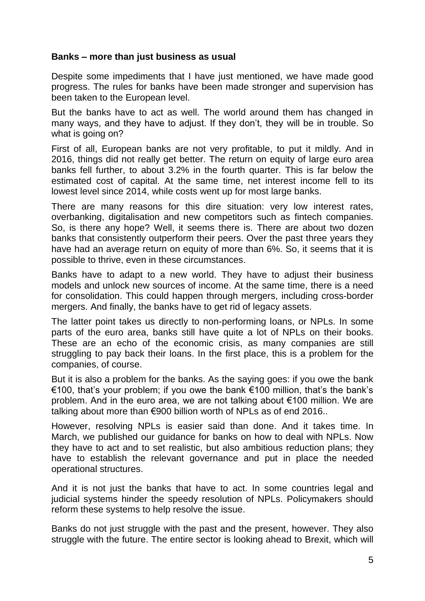### **Banks – more than just business as usual**

Despite some impediments that I have just mentioned, we have made good progress. The rules for banks have been made stronger and supervision has been taken to the European level.

But the banks have to act as well. The world around them has changed in many ways, and they have to adjust. If they don't, they will be in trouble. So what is going on?

First of all, European banks are not very profitable, to put it mildly. And in 2016, things did not really get better. The return on equity of large euro area banks fell further, to about 3.2% in the fourth quarter. This is far below the estimated cost of capital. At the same time, net interest income fell to its lowest level since 2014, while costs went up for most large banks.

There are many reasons for this dire situation: very low interest rates, overbanking, digitalisation and new competitors such as fintech companies. So, is there any hope? Well, it seems there is. There are about two dozen banks that consistently outperform their peers. Over the past three years they have had an average return on equity of more than 6%. So, it seems that it is possible to thrive, even in these circumstances.

Banks have to adapt to a new world. They have to adjust their business models and unlock new sources of income. At the same time, there is a need for consolidation. This could happen through mergers, including cross-border mergers. And finally, the banks have to get rid of legacy assets.

The latter point takes us directly to non-performing loans, or NPLs. In some parts of the euro area, banks still have quite a lot of NPLs on their books. These are an echo of the economic crisis, as many companies are still struggling to pay back their loans. In the first place, this is a problem for the companies, of course.

But it is also a problem for the banks. As the saying goes: if you owe the bank €100, that's your problem; if you owe the bank €100 million, that's the bank's problem. And in the euro area, we are not talking about €100 million. We are talking about more than €900 billion worth of NPLs as of end 2016..

However, resolving NPLs is easier said than done. And it takes time. In March, we published our guidance for banks on how to deal with NPLs. Now they have to act and to set realistic, but also ambitious reduction plans; they have to establish the relevant governance and put in place the needed operational structures.

And it is not just the banks that have to act. In some countries legal and judicial systems hinder the speedy resolution of NPLs. Policymakers should reform these systems to help resolve the issue.

Banks do not just struggle with the past and the present, however. They also struggle with the future. The entire sector is looking ahead to Brexit, which will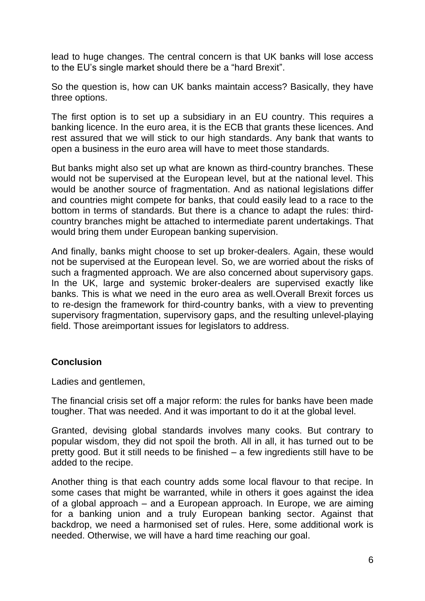lead to huge changes. The central concern is that UK banks will lose access to the EU's single market should there be a "hard Brexit".

So the question is, how can UK banks maintain access? Basically, they have three options.

The first option is to set up a subsidiary in an EU country. This requires a banking licence. In the euro area, it is the ECB that grants these licences. And rest assured that we will stick to our high standards. Any bank that wants to open a business in the euro area will have to meet those standards.

But banks might also set up what are known as third-country branches. These would not be supervised at the European level, but at the national level. This would be another source of fragmentation. And as national legislations differ and countries might compete for banks, that could easily lead to a race to the bottom in terms of standards. But there is a chance to adapt the rules: thirdcountry branches might be attached to intermediate parent undertakings. That would bring them under European banking supervision.

And finally, banks might choose to set up broker-dealers. Again, these would not be supervised at the European level. So, we are worried about the risks of such a fragmented approach. We are also concerned about supervisory gaps. In the UK, large and systemic broker-dealers are supervised exactly like banks. This is what we need in the euro area as well.Overall Brexit forces us to re-design the framework for third-country banks, with a view to preventing supervisory fragmentation, supervisory gaps, and the resulting unlevel-playing field. Those areimportant issues for legislators to address.

# **Conclusion**

Ladies and gentlemen,

The financial crisis set off a major reform: the rules for banks have been made tougher. That was needed. And it was important to do it at the global level.

Granted, devising global standards involves many cooks. But contrary to popular wisdom, they did not spoil the broth. All in all, it has turned out to be pretty good. But it still needs to be finished – a few ingredients still have to be added to the recipe.

Another thing is that each country adds some local flavour to that recipe. In some cases that might be warranted, while in others it goes against the idea of a global approach – and a European approach. In Europe, we are aiming for a banking union and a truly European banking sector. Against that backdrop, we need a harmonised set of rules. Here, some additional work is needed. Otherwise, we will have a hard time reaching our goal.